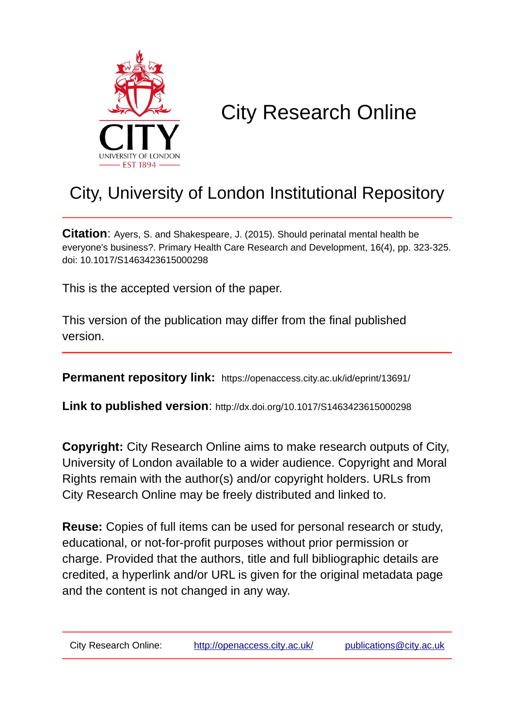

## City Research Online

## City, University of London Institutional Repository

**Citation**: Ayers, S. and Shakespeare, J. (2015). Should perinatal mental health be everyone's business?. Primary Health Care Research and Development, 16(4), pp. 323-325. doi: 10.1017/S1463423615000298

This is the accepted version of the paper.

This version of the publication may differ from the final published version.

**Permanent repository link:** https://openaccess.city.ac.uk/id/eprint/13691/

**Link to published version**: http://dx.doi.org/10.1017/S1463423615000298

**Copyright:** City Research Online aims to make research outputs of City, University of London available to a wider audience. Copyright and Moral Rights remain with the author(s) and/or copyright holders. URLs from City Research Online may be freely distributed and linked to.

**Reuse:** Copies of full items can be used for personal research or study, educational, or not-for-profit purposes without prior permission or charge. Provided that the authors, title and full bibliographic details are credited, a hyperlink and/or URL is given for the original metadata page and the content is not changed in any way.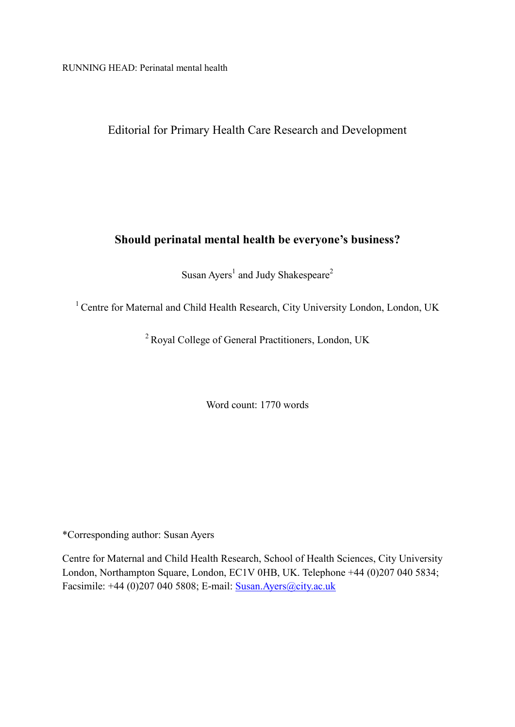RUNNING HEAD: Perinatal mental health

Editorial for Primary Health Care Research and Development

## **Should perinatal mental health be everyone's business?**

Susan Ayers<sup>1</sup> and Judy Shakespeare<sup>2</sup>

<sup>1</sup> Centre for Maternal and Child Health Research, City University London, London, UK

<sup>2</sup> Royal College of General Practitioners, London, UK

Word count: 1770 words

\*Corresponding author: Susan Ayers

Centre for Maternal and Child Health Research, School of Health Sciences, City University London, Northampton Square, London, EC1V 0HB, UK. Telephone +44 (0)207 040 5834; Facsimile: +44 (0)207 040 5808; E-mail: [Susan.Ayers@city.ac.uk](mailto:Susan.Ayers@city.ac.uk)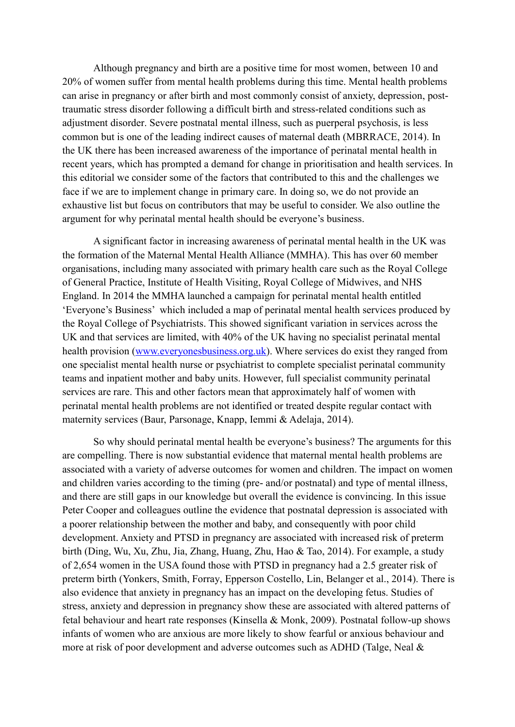Although pregnancy and birth are a positive time for most women, between 10 and 20% of women suffer from mental health problems during this time. Mental health problems can arise in pregnancy or after birth and most commonly consist of anxiety, depression, posttraumatic stress disorder following a difficult birth and stress-related conditions such as adjustment disorder. Severe postnatal mental illness, such as puerperal psychosis, is less common but is one of the leading indirect causes of maternal death (MBRRACE, 2014). In the UK there has been increased awareness of the importance of perinatal mental health in recent years, which has prompted a demand for change in prioritisation and health services. In this editorial we consider some of the factors that contributed to this and the challenges we face if we are to implement change in primary care. In doing so, we do not provide an exhaustive list but focus on contributors that may be useful to consider. We also outline the argument for why perinatal mental health should be everyone's business.

A significant factor in increasing awareness of perinatal mental health in the UK was the formation of the Maternal Mental Health Alliance (MMHA). This has over 60 member organisations, including many associated with primary health care such as the Royal College of General Practice, Institute of Health Visiting, Royal College of Midwives, and NHS England. In 2014 the MMHA launched a campaign for perinatal mental health entitled 'Everyone's Business' which included a map of perinatal mental health services produced by the Royal College of Psychiatrists. This showed significant variation in services across the UK and that services are limited, with 40% of the UK having no specialist perinatal mental health provision [\(www.everyonesbusiness.org.uk\)](http://www.everyonesbusiness.org.uk/). Where services do exist they ranged from one specialist mental health nurse or psychiatrist to complete specialist perinatal community teams and inpatient mother and baby units. However, full specialist community perinatal services are rare. This and other factors mean that approximately half of women with perinatal mental health problems are not identified or treated despite regular contact with maternity services (Baur, Parsonage, Knapp, Iemmi & Adelaja, 2014).

So why should perinatal mental health be everyone's business? The arguments for this are compelling. There is now substantial evidence that maternal mental health problems are associated with a variety of adverse outcomes for women and children. The impact on women and children varies according to the timing (pre- and/or postnatal) and type of mental illness, and there are still gaps in our knowledge but overall the evidence is convincing. In this issue Peter Cooper and colleagues outline the evidence that postnatal depression is associated with a poorer relationship between the mother and baby, and consequently with poor child development. Anxiety and PTSD in pregnancy are associated with increased risk of preterm birth (Ding, Wu, Xu, Zhu, Jia, Zhang, Huang, Zhu, Hao & Tao, 2014). For example, a study of 2,654 women in the USA found those with PTSD in pregnancy had a 2.5 greater risk of preterm birth (Yonkers, [Smith,](http://www.ncbi.nlm.nih.gov/pubmed/?term=Smith%20MV%5BAuthor%5D&cauthor=true&cauthor_uid=24920287) [Forray,](http://www.ncbi.nlm.nih.gov/pubmed/?term=Forray%20A%5BAuthor%5D&cauthor=true&cauthor_uid=24920287) [Epperson](http://www.ncbi.nlm.nih.gov/pubmed/?term=Epperson%20CN%5BAuthor%5D&cauthor=true&cauthor_uid=24920287) [Costello,](http://www.ncbi.nlm.nih.gov/pubmed/?term=Costello%20D%5BAuthor%5D&cauthor=true&cauthor_uid=24920287) [Lin,](http://www.ncbi.nlm.nih.gov/pubmed/?term=Lin%20H%5BAuthor%5D&cauthor=true&cauthor_uid=24920287) [Belanger](http://www.ncbi.nlm.nih.gov/pubmed/?term=Belanger%20K%5BAuthor%5D&cauthor=true&cauthor_uid=24920287) et al., 2014). There is also evidence that anxiety in pregnancy has an impact on the developing fetus. Studies of stress, anxiety and depression in pregnancy show these are associated with altered patterns of fetal behaviour and heart rate responses (Kinsella & Monk, 2009). Postnatal follow-up shows infants of women who are anxious are more likely to show fearful or anxious behaviour and more at risk of poor development and adverse outcomes such as ADHD (Talge, Neal &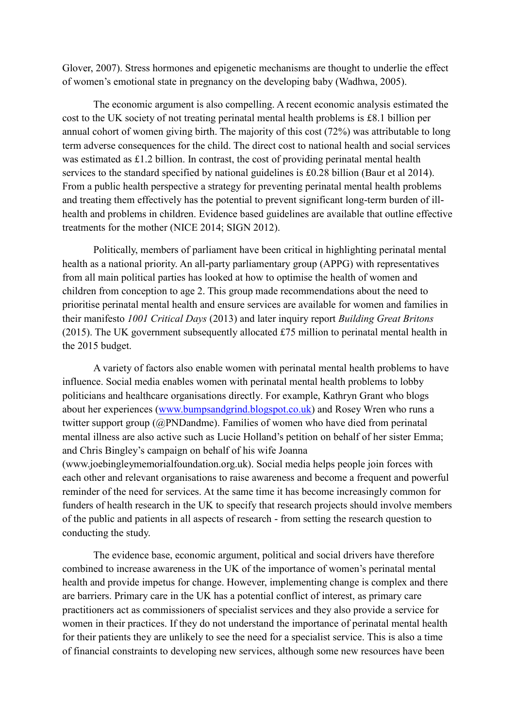Glover, 2007). Stress hormones and epigenetic mechanisms are thought to underlie the effect of women's emotional state in pregnancy on the developing baby (Wadhwa, 2005).

The economic argument is also compelling. A recent economic analysis estimated the cost to the UK society of not treating perinatal mental health problems is £8.1 billion per annual cohort of women giving birth. The majority of this cost (72%) was attributable to long term adverse consequences for the child. The direct cost to national health and social services was estimated as £1.2 billion. In contrast, the cost of providing perinatal mental health services to the standard specified by national guidelines is £0.28 billion (Baur et al 2014). From a public health perspective a strategy for preventing perinatal mental health problems and treating them effectively has the potential to prevent significant long-term burden of illhealth and problems in children. Evidence based guidelines are available that outline effective treatments for the mother (NICE 2014; SIGN 2012).

Politically, members of parliament have been critical in highlighting perinatal mental health as a national priority. An all-party parliamentary group (APPG) with representatives from all main political parties has looked at how to optimise the health of women and children from conception to age 2. This group made recommendations about the need to prioritise perinatal mental health and ensure services are available for women and families in their manifesto *1001 Critical Days* (2013) and later inquiry report *Building Great Britons* (2015). The UK government subsequently allocated £75 million to perinatal mental health in the 2015 budget.

A variety of factors also enable women with perinatal mental health problems to have influence. Social media enables women with perinatal mental health problems to lobby politicians and healthcare organisations directly. For example, Kathryn Grant who blogs about her experiences [\(www.bumpsandgrind.blogspot.co.uk\)](http://www.bumpsandgrind.blogspot.co.uk/) and Rosey Wren who runs a twitter support group (@PNDandme). Families of women who have died from perinatal mental illness are also active such as Lucie Holland's petition on behalf of her sister Emma; and Chris Bingley's campaign on behalf of his wife Joanna (www.joebingleymemorialfoundation.org.uk). Social media helps people join forces with each other and relevant organisations to raise awareness and become a frequent and powerful reminder of the need for services. At the same time it has become increasingly common for funders of health research in the UK to specify that research projects should involve members of the public and patients in all aspects of research - from setting the research question to conducting the study.

The evidence base, economic argument, political and social drivers have therefore combined to increase awareness in the UK of the importance of women's perinatal mental health and provide impetus for change. However, implementing change is complex and there are barriers. Primary care in the UK has a potential conflict of interest, as primary care practitioners act as commissioners of specialist services and they also provide a service for women in their practices. If they do not understand the importance of perinatal mental health for their patients they are unlikely to see the need for a specialist service. This is also a time of financial constraints to developing new services, although some new resources have been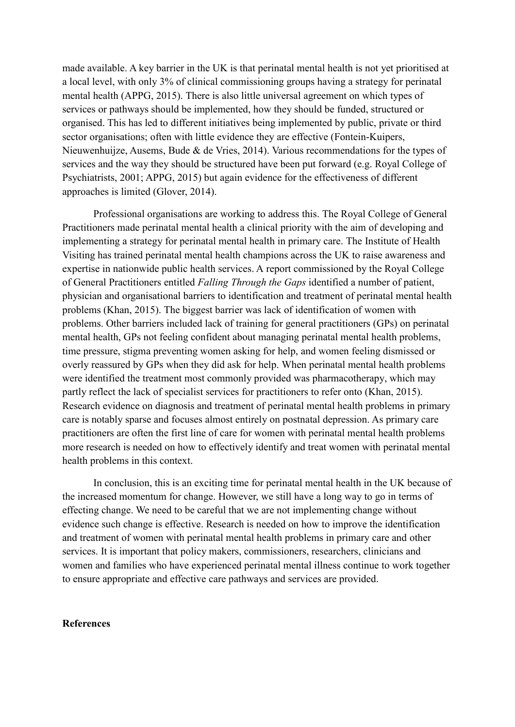made available. A key barrier in the UK is that perinatal mental health is not yet prioritised at a local level, with only 3% of clinical commissioning groups having a strategy for perinatal mental health (APPG, 2015). There is also little universal agreement on which types of services or pathways should be implemented, how they should be funded, structured or organised. This has led to different initiatives being implemented by public, private or third sector organisations; often with little evidence they are effective (Fontein-Kuipers, Nieuwenhuijze, Ausems, Bude & de Vries, 2014). Various recommendations for the types of services and the way they should be structured have been put forward (e.g. Royal College of Psychiatrists, 2001; APPG, 2015) but again evidence for the effectiveness of different approaches is limited (Glover, 2014).

Professional organisations are working to address this. The Royal College of General Practitioners made perinatal mental health a clinical priority with the aim of developing and implementing a strategy for perinatal mental health in primary care. The Institute of Health Visiting has trained perinatal mental health champions across the UK to raise awareness and expertise in nationwide public health services. A report commissioned by the Royal College of General Practitioners entitled *Falling Through the Gaps* identified a number of patient, physician and organisational barriers to identification and treatment of perinatal mental health problems (Khan, 2015). The biggest barrier was lack of identification of women with problems. Other barriers included lack of training for general practitioners (GPs) on perinatal mental health, GPs not feeling confident about managing perinatal mental health problems, time pressure, stigma preventing women asking for help, and women feeling dismissed or overly reassured by GPs when they did ask for help. When perinatal mental health problems were identified the treatment most commonly provided was pharmacotherapy, which may partly reflect the lack of specialist services for practitioners to refer onto (Khan, 2015). Research evidence on diagnosis and treatment of perinatal mental health problems in primary care is notably sparse and focuses almost entirely on postnatal depression. As primary care practitioners are often the first line of care for women with perinatal mental health problems more research is needed on how to effectively identify and treat women with perinatal mental health problems in this context.

In conclusion, this is an exciting time for perinatal mental health in the UK because of the increased momentum for change. However, we still have a long way to go in terms of effecting change. We need to be careful that we are not implementing change without evidence such change is effective. Research is needed on how to improve the identification and treatment of women with perinatal mental health problems in primary care and other services. It is important that policy makers, commissioners, researchers, clinicians and women and families who have experienced perinatal mental illness continue to work together to ensure appropriate and effective care pathways and services are provided.

## **References**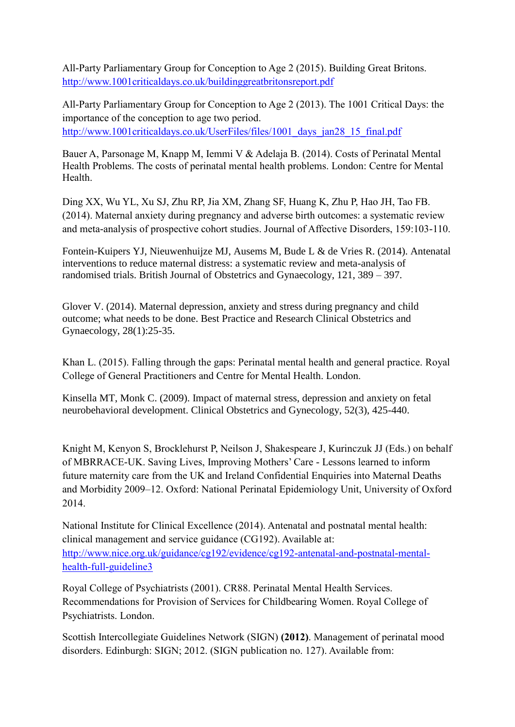All-Party Parliamentary Group for Conception to Age 2 (2015). Building Great Britons. <http://www.1001criticaldays.co.uk/buildinggreatbritonsreport.pdf>

All-Party Parliamentary Group for Conception to Age 2 (2013). The 1001 Critical Days: the importance of the conception to age two period. [http://www.1001criticaldays.co.uk/UserFiles/files/1001\\_days\\_jan28\\_15\\_final.pdf](http://www.1001criticaldays.co.uk/UserFiles/files/1001_days_jan28_15_final.pdf)

Bauer A, Parsonage M, Knapp M, Iemmi V & Adelaja B. (2014). Costs of Perinatal Mental Health Problems. The costs of perinatal mental health problems. London: Centre for Mental Health.

Ding XX, Wu YL, Xu SJ, Zhu RP, Jia XM, Zhang SF, Huang K, Zhu P, Hao JH, Tao FB. (2014). Maternal anxiety during pregnancy and adverse birth outcomes: a systematic review and meta-analysis of prospective cohort studies. Journal of Affective Disorders, 159:103-110.

Fontein-Kuipers YJ, Nieuwenhuijze MJ, Ausems M, Bude L & de Vries R. (2014). Antenatal interventions to reduce maternal distress: a systematic review and meta-analysis of randomised trials. British Journal of Obstetrics and Gynaecology, 121, 389 – 397.

Glover V. (2014). Maternal depression, anxiety and stress during pregnancy and child outcome; what needs to be done. Best Practice and Research Clinical Obstetrics and Gynaecology, 28(1):25-35.

Khan L. (2015). Falling through the gaps: Perinatal mental health and general practice. Royal College of General Practitioners and Centre for Mental Health. London.

Kinsella MT, Monk C. (2009). Impact of maternal stress, depression and anxiety on fetal neurobehavioral development. Clinical Obstetrics and Gynecology, 52(3), 425-440.

Knight M, Kenyon S, Brocklehurst P, Neilson J, Shakespeare J, Kurinczuk JJ (Eds.) on behalf of MBRRACE-UK. Saving Lives, Improving Mothers' Care - Lessons learned to inform future maternity care from the UK and Ireland Confidential Enquiries into Maternal Deaths and Morbidity 2009–12. Oxford: National Perinatal Epidemiology Unit, University of Oxford 2014.

National Institute for Clinical Excellence (2014). Antenatal and postnatal mental health: clinical management and service guidance (CG192). Available at: [http://www.nice.org.uk/guidance/cg192/evidence/cg192-antenatal-and-postnatal-mental](http://www.nice.org.uk/guidance/cg192/evidence/cg192-antenatal-and-postnatal-mental-health-full-guideline3)[health-full-guideline3](http://www.nice.org.uk/guidance/cg192/evidence/cg192-antenatal-and-postnatal-mental-health-full-guideline3)

Royal College of Psychiatrists (2001). CR88. Perinatal Mental Health Services. Recommendations for Provision of Services for Childbearing Women. Royal College of Psychiatrists. London.

Scottish Intercollegiate Guidelines Network (SIGN) **(2012)**. Management of perinatal mood disorders. Edinburgh: SIGN; 2012. (SIGN publication no. 127). Available from: